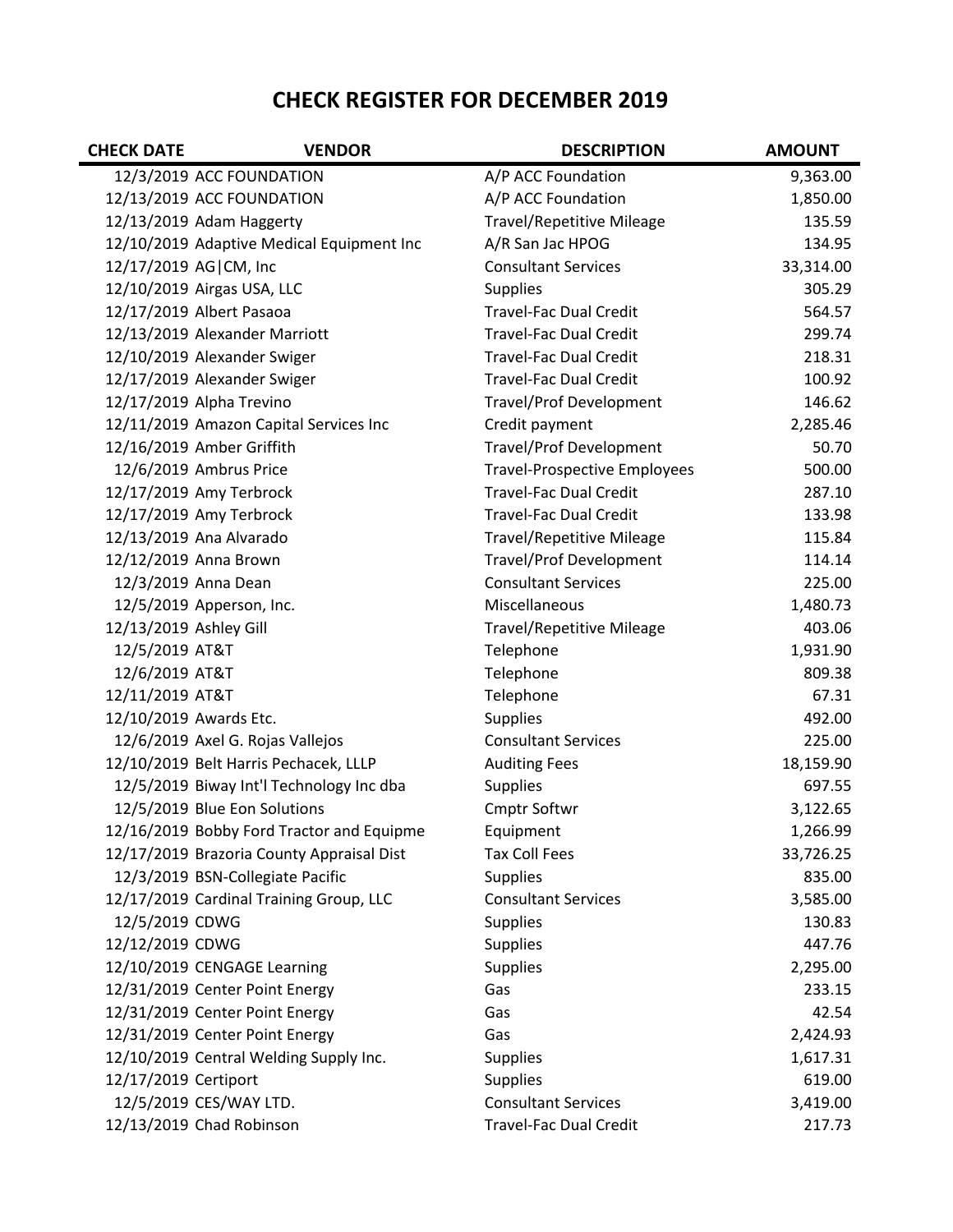## **CHECK REGISTER FOR DECEMBER 2019**

| <b>CHECK DATE</b>      | <b>VENDOR</b>                             | <b>DESCRIPTION</b>                  | <b>AMOUNT</b> |
|------------------------|-------------------------------------------|-------------------------------------|---------------|
|                        | 12/3/2019 ACC FOUNDATION                  | A/P ACC Foundation                  | 9,363.00      |
|                        | 12/13/2019 ACC FOUNDATION                 | A/P ACC Foundation                  | 1,850.00      |
|                        | 12/13/2019 Adam Haggerty                  | <b>Travel/Repetitive Mileage</b>    | 135.59        |
|                        | 12/10/2019 Adaptive Medical Equipment Inc | A/R San Jac HPOG                    | 134.95        |
| 12/17/2019 AG CM, Inc  |                                           | <b>Consultant Services</b>          | 33,314.00     |
|                        | 12/10/2019 Airgas USA, LLC                | <b>Supplies</b>                     | 305.29        |
|                        | 12/17/2019 Albert Pasaoa                  | <b>Travel-Fac Dual Credit</b>       | 564.57        |
|                        | 12/13/2019 Alexander Marriott             | <b>Travel-Fac Dual Credit</b>       | 299.74        |
|                        | 12/10/2019 Alexander Swiger               | <b>Travel-Fac Dual Credit</b>       | 218.31        |
|                        | 12/17/2019 Alexander Swiger               | <b>Travel-Fac Dual Credit</b>       | 100.92        |
|                        | 12/17/2019 Alpha Trevino                  | <b>Travel/Prof Development</b>      | 146.62        |
|                        | 12/11/2019 Amazon Capital Services Inc    | Credit payment                      | 2,285.46      |
|                        | 12/16/2019 Amber Griffith                 | <b>Travel/Prof Development</b>      | 50.70         |
|                        | 12/6/2019 Ambrus Price                    | <b>Travel-Prospective Employees</b> | 500.00        |
|                        | 12/17/2019 Amy Terbrock                   | <b>Travel-Fac Dual Credit</b>       | 287.10        |
|                        | 12/17/2019 Amy Terbrock                   | <b>Travel-Fac Dual Credit</b>       | 133.98        |
|                        | 12/13/2019 Ana Alvarado                   | <b>Travel/Repetitive Mileage</b>    | 115.84        |
|                        | 12/12/2019 Anna Brown                     | <b>Travel/Prof Development</b>      | 114.14        |
|                        | 12/3/2019 Anna Dean                       | <b>Consultant Services</b>          | 225.00        |
|                        | 12/5/2019 Apperson, Inc.                  | Miscellaneous                       | 1,480.73      |
| 12/13/2019 Ashley Gill |                                           | <b>Travel/Repetitive Mileage</b>    | 403.06        |
| 12/5/2019 AT&T         |                                           | Telephone                           | 1,931.90      |
| 12/6/2019 AT&T         |                                           | Telephone                           | 809.38        |
| 12/11/2019 AT&T        |                                           | Telephone                           | 67.31         |
| 12/10/2019 Awards Etc. |                                           | <b>Supplies</b>                     | 492.00        |
|                        | 12/6/2019 Axel G. Rojas Vallejos          | <b>Consultant Services</b>          | 225.00        |
|                        | 12/10/2019 Belt Harris Pechacek, LLLP     | <b>Auditing Fees</b>                | 18,159.90     |
|                        | 12/5/2019 Biway Int'l Technology Inc dba  | <b>Supplies</b>                     | 697.55        |
|                        | 12/5/2019 Blue Eon Solutions              | Cmptr Softwr                        | 3,122.65      |
|                        | 12/16/2019 Bobby Ford Tractor and Equipme | Equipment                           | 1,266.99      |
|                        | 12/17/2019 Brazoria County Appraisal Dist | <b>Tax Coll Fees</b>                | 33,726.25     |
|                        | 12/3/2019 BSN-Collegiate Pacific          | <b>Supplies</b>                     | 835.00        |
|                        | 12/17/2019 Cardinal Training Group, LLC   | <b>Consultant Services</b>          | 3,585.00      |
| 12/5/2019 CDWG         |                                           | <b>Supplies</b>                     | 130.83        |
| 12/12/2019 CDWG        |                                           | <b>Supplies</b>                     | 447.76        |
|                        | 12/10/2019 CENGAGE Learning               | <b>Supplies</b>                     | 2,295.00      |
|                        | 12/31/2019 Center Point Energy            | Gas                                 | 233.15        |
|                        | 12/31/2019 Center Point Energy            | Gas                                 | 42.54         |
|                        | 12/31/2019 Center Point Energy            | Gas                                 | 2,424.93      |
|                        | 12/10/2019 Central Welding Supply Inc.    | <b>Supplies</b>                     | 1,617.31      |
| 12/17/2019 Certiport   |                                           | <b>Supplies</b>                     | 619.00        |
|                        | 12/5/2019 CES/WAY LTD.                    | <b>Consultant Services</b>          | 3,419.00      |
|                        | 12/13/2019 Chad Robinson                  | <b>Travel-Fac Dual Credit</b>       | 217.73        |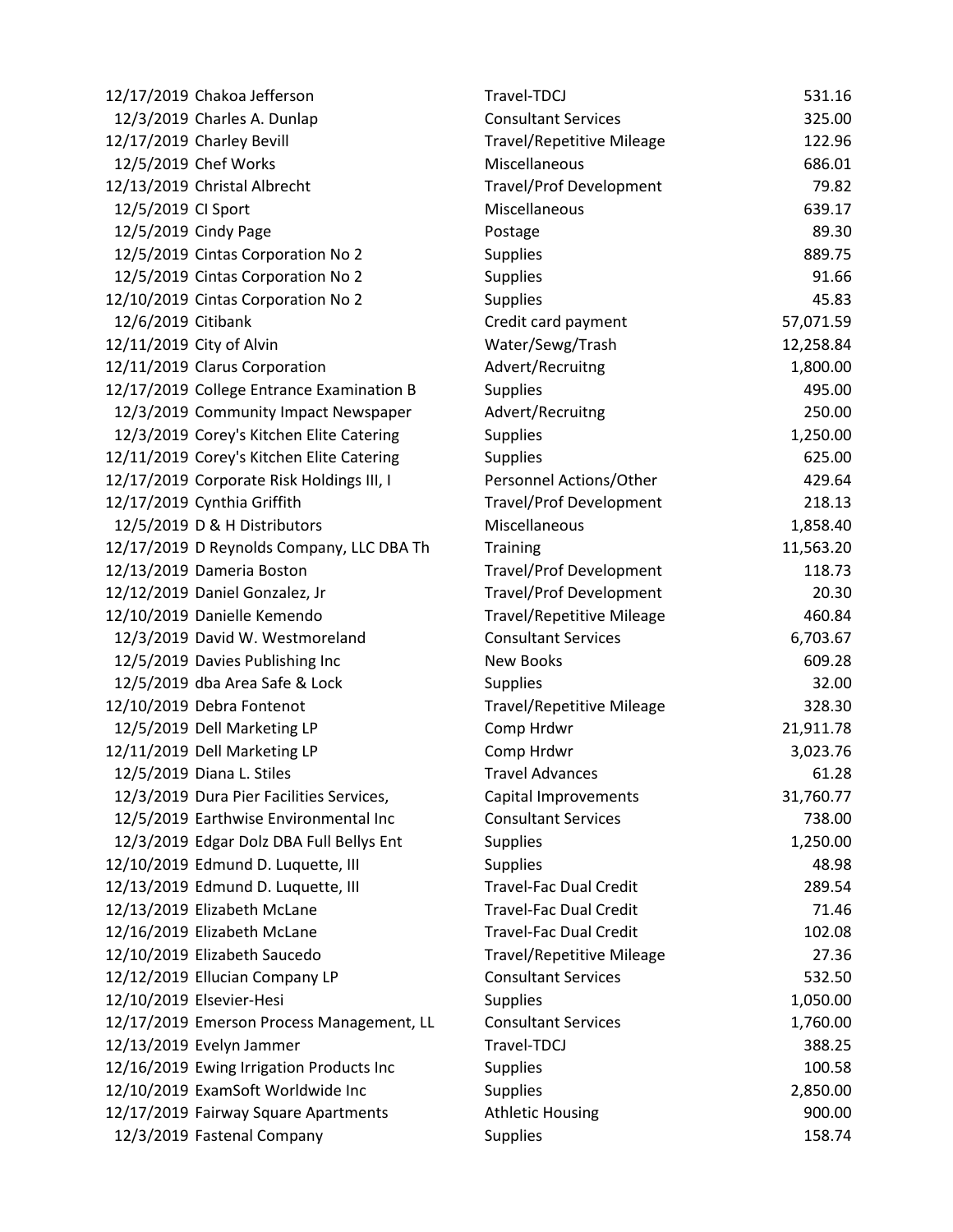|                    | 12/17/2019 Chakoa Jefferson               | Travel-TDCJ                      | 531.16    |
|--------------------|-------------------------------------------|----------------------------------|-----------|
|                    | 12/3/2019 Charles A. Dunlap               | <b>Consultant Services</b>       | 325.00    |
|                    | 12/17/2019 Charley Bevill                 | <b>Travel/Repetitive Mileage</b> | 122.96    |
|                    | 12/5/2019 Chef Works                      | Miscellaneous                    | 686.01    |
|                    | 12/13/2019 Christal Albrecht              | <b>Travel/Prof Development</b>   | 79.82     |
| 12/5/2019 CI Sport |                                           | Miscellaneous                    | 639.17    |
|                    | 12/5/2019 Cindy Page                      | Postage                          | 89.30     |
|                    | 12/5/2019 Cintas Corporation No 2         | <b>Supplies</b>                  | 889.75    |
|                    | 12/5/2019 Cintas Corporation No 2         | <b>Supplies</b>                  | 91.66     |
|                    | 12/10/2019 Cintas Corporation No 2        | <b>Supplies</b>                  | 45.83     |
| 12/6/2019 Citibank |                                           | Credit card payment              | 57,071.59 |
|                    | 12/11/2019 City of Alvin                  | Water/Sewg/Trash                 | 12,258.84 |
|                    | 12/11/2019 Clarus Corporation             | Advert/Recruitng                 | 1,800.00  |
|                    | 12/17/2019 College Entrance Examination B | <b>Supplies</b>                  | 495.00    |
|                    | 12/3/2019 Community Impact Newspaper      | Advert/Recruitng                 | 250.00    |
|                    | 12/3/2019 Corey's Kitchen Elite Catering  | <b>Supplies</b>                  | 1,250.00  |
|                    | 12/11/2019 Corey's Kitchen Elite Catering | <b>Supplies</b>                  | 625.00    |
|                    | 12/17/2019 Corporate Risk Holdings III, I | Personnel Actions/Other          | 429.64    |
|                    | 12/17/2019 Cynthia Griffith               | <b>Travel/Prof Development</b>   | 218.13    |
|                    | 12/5/2019 D & H Distributors              | Miscellaneous                    | 1,858.40  |
|                    | 12/17/2019 D Reynolds Company, LLC DBA Th | Training                         | 11,563.20 |
|                    | 12/13/2019 Dameria Boston                 | <b>Travel/Prof Development</b>   | 118.73    |
|                    | 12/12/2019 Daniel Gonzalez, Jr            | <b>Travel/Prof Development</b>   | 20.30     |
|                    | 12/10/2019 Danielle Kemendo               | <b>Travel/Repetitive Mileage</b> | 460.84    |
|                    | 12/3/2019 David W. Westmoreland           | <b>Consultant Services</b>       | 6,703.67  |
|                    | 12/5/2019 Davies Publishing Inc           | <b>New Books</b>                 | 609.28    |
|                    | 12/5/2019 dba Area Safe & Lock            | <b>Supplies</b>                  | 32.00     |
|                    | 12/10/2019 Debra Fontenot                 | <b>Travel/Repetitive Mileage</b> | 328.30    |
|                    | 12/5/2019 Dell Marketing LP               | Comp Hrdwr                       | 21,911.78 |
|                    | 12/11/2019 Dell Marketing LP              | Comp Hrdwr                       | 3,023.76  |
|                    | 12/5/2019 Diana L. Stiles                 | <b>Travel Advances</b>           | 61.28     |
|                    | 12/3/2019 Dura Pier Facilities Services,  | Capital Improvements             | 31,760.77 |
|                    | 12/5/2019 Earthwise Environmental Inc     | <b>Consultant Services</b>       | 738.00    |
|                    | 12/3/2019 Edgar Dolz DBA Full Bellys Ent  | <b>Supplies</b>                  | 1,250.00  |
|                    | 12/10/2019 Edmund D. Luquette, III        | <b>Supplies</b>                  | 48.98     |
|                    | 12/13/2019 Edmund D. Luquette, III        | <b>Travel-Fac Dual Credit</b>    | 289.54    |
|                    | 12/13/2019 Elizabeth McLane               | <b>Travel-Fac Dual Credit</b>    | 71.46     |
|                    | 12/16/2019 Elizabeth McLane               | <b>Travel-Fac Dual Credit</b>    | 102.08    |
|                    | 12/10/2019 Elizabeth Saucedo              | <b>Travel/Repetitive Mileage</b> | 27.36     |
|                    | 12/12/2019 Ellucian Company LP            | <b>Consultant Services</b>       | 532.50    |
|                    | 12/10/2019 Elsevier-Hesi                  | <b>Supplies</b>                  | 1,050.00  |
|                    | 12/17/2019 Emerson Process Management, LL | <b>Consultant Services</b>       | 1,760.00  |
|                    | 12/13/2019 Evelyn Jammer                  | Travel-TDCJ                      | 388.25    |
|                    | 12/16/2019 Ewing Irrigation Products Inc  | <b>Supplies</b>                  | 100.58    |
|                    | 12/10/2019 ExamSoft Worldwide Inc         | <b>Supplies</b>                  | 2,850.00  |
|                    | 12/17/2019 Fairway Square Apartments      | <b>Athletic Housing</b>          | 900.00    |
|                    | 12/3/2019 Fastenal Company                | <b>Supplies</b>                  | 158.74    |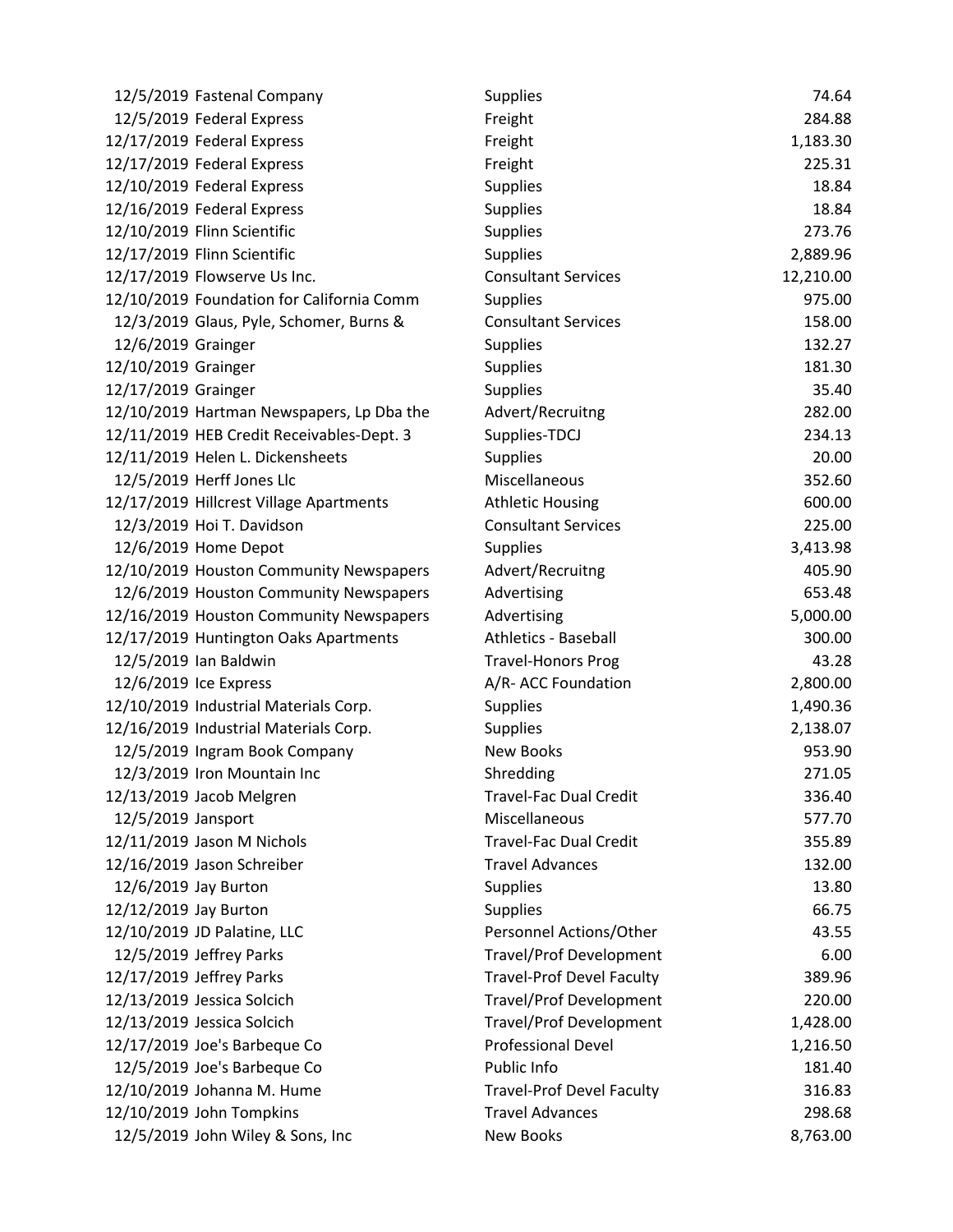|                       | 12/5/2019 Fastenal Company                | <b>Supplies</b>                  | 74.64     |
|-----------------------|-------------------------------------------|----------------------------------|-----------|
|                       | 12/5/2019 Federal Express                 | Freight                          | 284.88    |
|                       | 12/17/2019 Federal Express                | Freight                          | 1,183.30  |
|                       | 12/17/2019 Federal Express                | Freight                          | 225.31    |
|                       | 12/10/2019 Federal Express                | <b>Supplies</b>                  | 18.84     |
|                       | 12/16/2019 Federal Express                | <b>Supplies</b>                  | 18.84     |
|                       | 12/10/2019 Flinn Scientific               | <b>Supplies</b>                  | 273.76    |
|                       | 12/17/2019 Flinn Scientific               | <b>Supplies</b>                  | 2,889.96  |
|                       | 12/17/2019 Flowserve Us Inc.              | <b>Consultant Services</b>       | 12,210.00 |
|                       | 12/10/2019 Foundation for California Comm | <b>Supplies</b>                  | 975.00    |
|                       | 12/3/2019 Glaus, Pyle, Schomer, Burns &   | <b>Consultant Services</b>       | 158.00    |
| 12/6/2019 Grainger    |                                           | <b>Supplies</b>                  | 132.27    |
| 12/10/2019 Grainger   |                                           | <b>Supplies</b>                  | 181.30    |
| 12/17/2019 Grainger   |                                           | <b>Supplies</b>                  | 35.40     |
|                       | 12/10/2019 Hartman Newspapers, Lp Dba the | Advert/Recruitng                 | 282.00    |
|                       | 12/11/2019 HEB Credit Receivables-Dept. 3 | Supplies-TDCJ                    | 234.13    |
|                       | 12/11/2019 Helen L. Dickensheets          | <b>Supplies</b>                  | 20.00     |
|                       | 12/5/2019 Herff Jones Llc                 | Miscellaneous                    | 352.60    |
|                       | 12/17/2019 Hillcrest Village Apartments   | <b>Athletic Housing</b>          | 600.00    |
|                       | 12/3/2019 Hoi T. Davidson                 | <b>Consultant Services</b>       | 225.00    |
|                       | 12/6/2019 Home Depot                      | <b>Supplies</b>                  | 3,413.98  |
|                       | 12/10/2019 Houston Community Newspapers   | Advert/Recruitng                 | 405.90    |
|                       | 12/6/2019 Houston Community Newspapers    | Advertising                      | 653.48    |
|                       | 12/16/2019 Houston Community Newspapers   | Advertising                      | 5,000.00  |
|                       | 12/17/2019 Huntington Oaks Apartments     | <b>Athletics - Baseball</b>      | 300.00    |
|                       | 12/5/2019 Ian Baldwin                     | <b>Travel-Honors Prog</b>        | 43.28     |
|                       | 12/6/2019 Ice Express                     | A/R- ACC Foundation              | 2,800.00  |
|                       | 12/10/2019 Industrial Materials Corp.     | <b>Supplies</b>                  | 1,490.36  |
|                       | 12/16/2019 Industrial Materials Corp.     | <b>Supplies</b>                  | 2,138.07  |
|                       | 12/5/2019 Ingram Book Company             | <b>New Books</b>                 | 953.90    |
|                       | 12/3/2019 Iron Mountain Inc               | Shredding                        | 271.05    |
|                       | 12/13/2019 Jacob Melgren                  | <b>Travel-Fac Dual Credit</b>    | 336.40    |
| 12/5/2019 Jansport    |                                           | Miscellaneous                    | 577.70    |
|                       | 12/11/2019 Jason M Nichols                | <b>Travel-Fac Dual Credit</b>    | 355.89    |
|                       | 12/16/2019 Jason Schreiber                | <b>Travel Advances</b>           | 132.00    |
|                       | 12/6/2019 Jay Burton                      | <b>Supplies</b>                  | 13.80     |
| 12/12/2019 Jay Burton |                                           | <b>Supplies</b>                  | 66.75     |
|                       | 12/10/2019 JD Palatine, LLC               | Personnel Actions/Other          | 43.55     |
|                       | 12/5/2019 Jeffrey Parks                   | <b>Travel/Prof Development</b>   | 6.00      |
|                       | 12/17/2019 Jeffrey Parks                  | <b>Travel-Prof Devel Faculty</b> | 389.96    |
|                       | 12/13/2019 Jessica Solcich                | <b>Travel/Prof Development</b>   | 220.00    |
|                       | 12/13/2019 Jessica Solcich                | <b>Travel/Prof Development</b>   | 1,428.00  |
|                       | 12/17/2019 Joe's Barbeque Co              | <b>Professional Devel</b>        | 1,216.50  |
|                       | 12/5/2019 Joe's Barbeque Co               | Public Info                      | 181.40    |
|                       | 12/10/2019 Johanna M. Hume                | <b>Travel-Prof Devel Faculty</b> | 316.83    |
|                       | 12/10/2019 John Tompkins                  | <b>Travel Advances</b>           | 298.68    |
|                       | 12/5/2019 John Wiley & Sons, Inc          | New Books                        | 8,763.00  |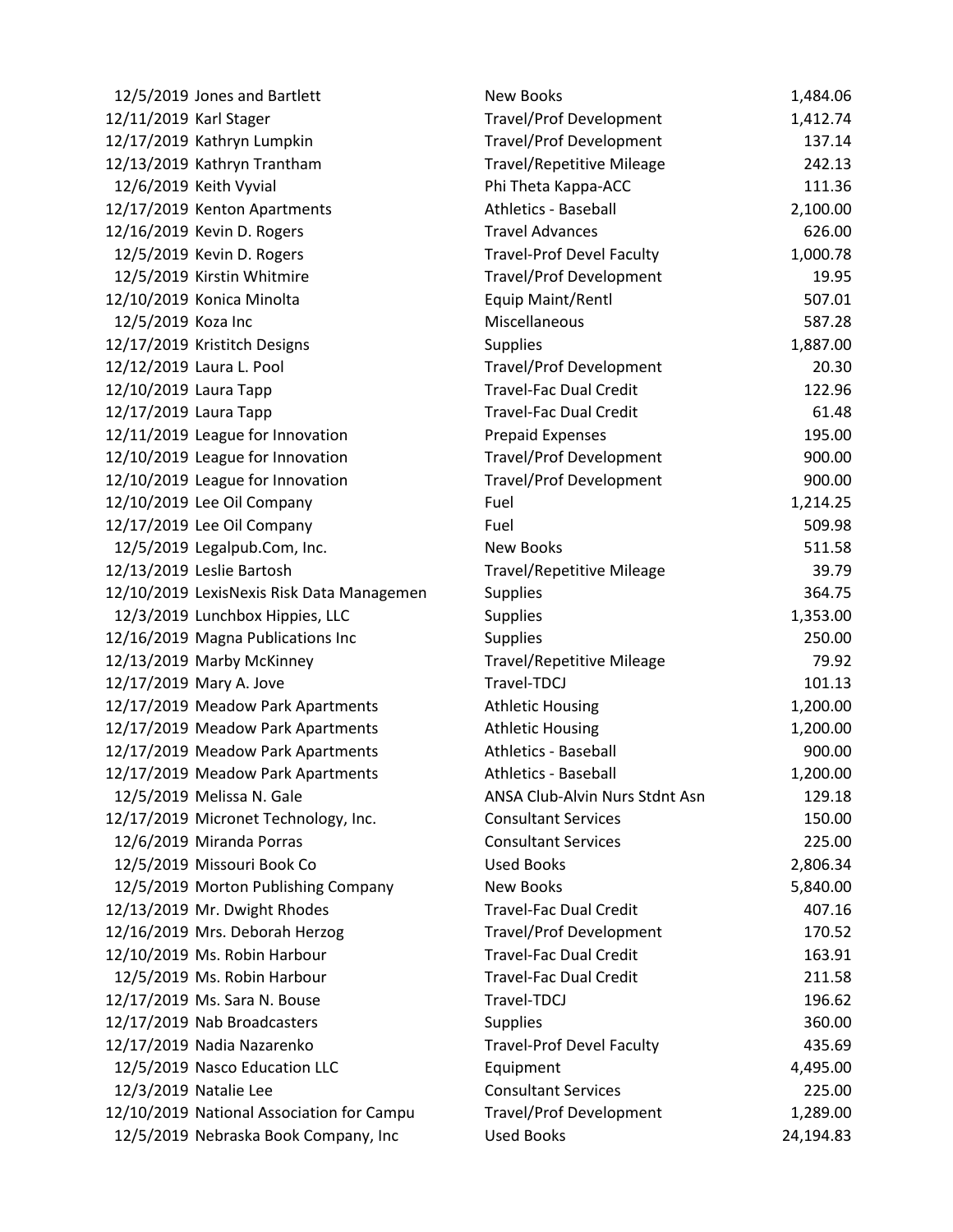|                        | 12/5/2019 Jones and Bartlett              | <b>New Books</b>                 | 1,484.06  |
|------------------------|-------------------------------------------|----------------------------------|-----------|
| 12/11/2019 Karl Stager |                                           | <b>Travel/Prof Development</b>   | 1,412.74  |
|                        | 12/17/2019 Kathryn Lumpkin                | <b>Travel/Prof Development</b>   | 137.14    |
|                        | 12/13/2019 Kathryn Trantham               | <b>Travel/Repetitive Mileage</b> | 242.13    |
|                        | 12/6/2019 Keith Vyvial                    | Phi Theta Kappa-ACC              | 111.36    |
|                        | 12/17/2019 Kenton Apartments              | <b>Athletics - Baseball</b>      | 2,100.00  |
|                        | 12/16/2019 Kevin D. Rogers                | <b>Travel Advances</b>           | 626.00    |
|                        | 12/5/2019 Kevin D. Rogers                 | <b>Travel-Prof Devel Faculty</b> | 1,000.78  |
|                        | 12/5/2019 Kirstin Whitmire                | <b>Travel/Prof Development</b>   | 19.95     |
|                        | 12/10/2019 Konica Minolta                 | Equip Maint/Rentl                | 507.01    |
| 12/5/2019 Koza Inc     |                                           | Miscellaneous                    | 587.28    |
|                        | 12/17/2019 Kristitch Designs              | <b>Supplies</b>                  | 1,887.00  |
|                        | 12/12/2019 Laura L. Pool                  | <b>Travel/Prof Development</b>   | 20.30     |
| 12/10/2019 Laura Tapp  |                                           | <b>Travel-Fac Dual Credit</b>    | 122.96    |
| 12/17/2019 Laura Tapp  |                                           | <b>Travel-Fac Dual Credit</b>    | 61.48     |
|                        | 12/11/2019 League for Innovation          | <b>Prepaid Expenses</b>          | 195.00    |
|                        | 12/10/2019 League for Innovation          | <b>Travel/Prof Development</b>   | 900.00    |
|                        | 12/10/2019 League for Innovation          | <b>Travel/Prof Development</b>   | 900.00    |
|                        | 12/10/2019 Lee Oil Company                | Fuel                             | 1,214.25  |
|                        | 12/17/2019 Lee Oil Company                | Fuel                             | 509.98    |
|                        | 12/5/2019 Legalpub.Com, Inc.              | <b>New Books</b>                 | 511.58    |
|                        | 12/13/2019 Leslie Bartosh                 | <b>Travel/Repetitive Mileage</b> | 39.79     |
|                        | 12/10/2019 LexisNexis Risk Data Managemen | <b>Supplies</b>                  | 364.75    |
|                        | 12/3/2019 Lunchbox Hippies, LLC           | <b>Supplies</b>                  | 1,353.00  |
|                        | 12/16/2019 Magna Publications Inc         | <b>Supplies</b>                  | 250.00    |
|                        | 12/13/2019 Marby McKinney                 | <b>Travel/Repetitive Mileage</b> | 79.92     |
|                        | 12/17/2019 Mary A. Jove                   | Travel-TDCJ                      | 101.13    |
|                        | 12/17/2019 Meadow Park Apartments         | <b>Athletic Housing</b>          | 1,200.00  |
|                        | 12/17/2019 Meadow Park Apartments         | <b>Athletic Housing</b>          | 1,200.00  |
|                        | 12/17/2019 Meadow Park Apartments         | <b>Athletics - Baseball</b>      | 900.00    |
|                        | 12/17/2019 Meadow Park Apartments         | <b>Athletics - Baseball</b>      | 1,200.00  |
|                        | 12/5/2019 Melissa N. Gale                 | ANSA Club-Alvin Nurs Stdnt Asn   | 129.18    |
|                        | 12/17/2019 Micronet Technology, Inc.      | <b>Consultant Services</b>       | 150.00    |
|                        | 12/6/2019 Miranda Porras                  | <b>Consultant Services</b>       | 225.00    |
|                        | 12/5/2019 Missouri Book Co                | <b>Used Books</b>                | 2,806.34  |
|                        | 12/5/2019 Morton Publishing Company       | <b>New Books</b>                 | 5,840.00  |
|                        | 12/13/2019 Mr. Dwight Rhodes              | <b>Travel-Fac Dual Credit</b>    | 407.16    |
|                        | 12/16/2019 Mrs. Deborah Herzog            | <b>Travel/Prof Development</b>   | 170.52    |
|                        | 12/10/2019 Ms. Robin Harbour              | <b>Travel-Fac Dual Credit</b>    | 163.91    |
|                        | 12/5/2019 Ms. Robin Harbour               | <b>Travel-Fac Dual Credit</b>    | 211.58    |
|                        | 12/17/2019 Ms. Sara N. Bouse              | Travel-TDCJ                      | 196.62    |
|                        | 12/17/2019 Nab Broadcasters               | <b>Supplies</b>                  | 360.00    |
|                        | 12/17/2019 Nadia Nazarenko                | <b>Travel-Prof Devel Faculty</b> | 435.69    |
|                        | 12/5/2019 Nasco Education LLC             | Equipment                        | 4,495.00  |
|                        | 12/3/2019 Natalie Lee                     | <b>Consultant Services</b>       | 225.00    |
|                        | 12/10/2019 National Association for Campu | <b>Travel/Prof Development</b>   | 1,289.00  |
|                        | 12/5/2019 Nebraska Book Company, Inc      | <b>Used Books</b>                | 24,194.83 |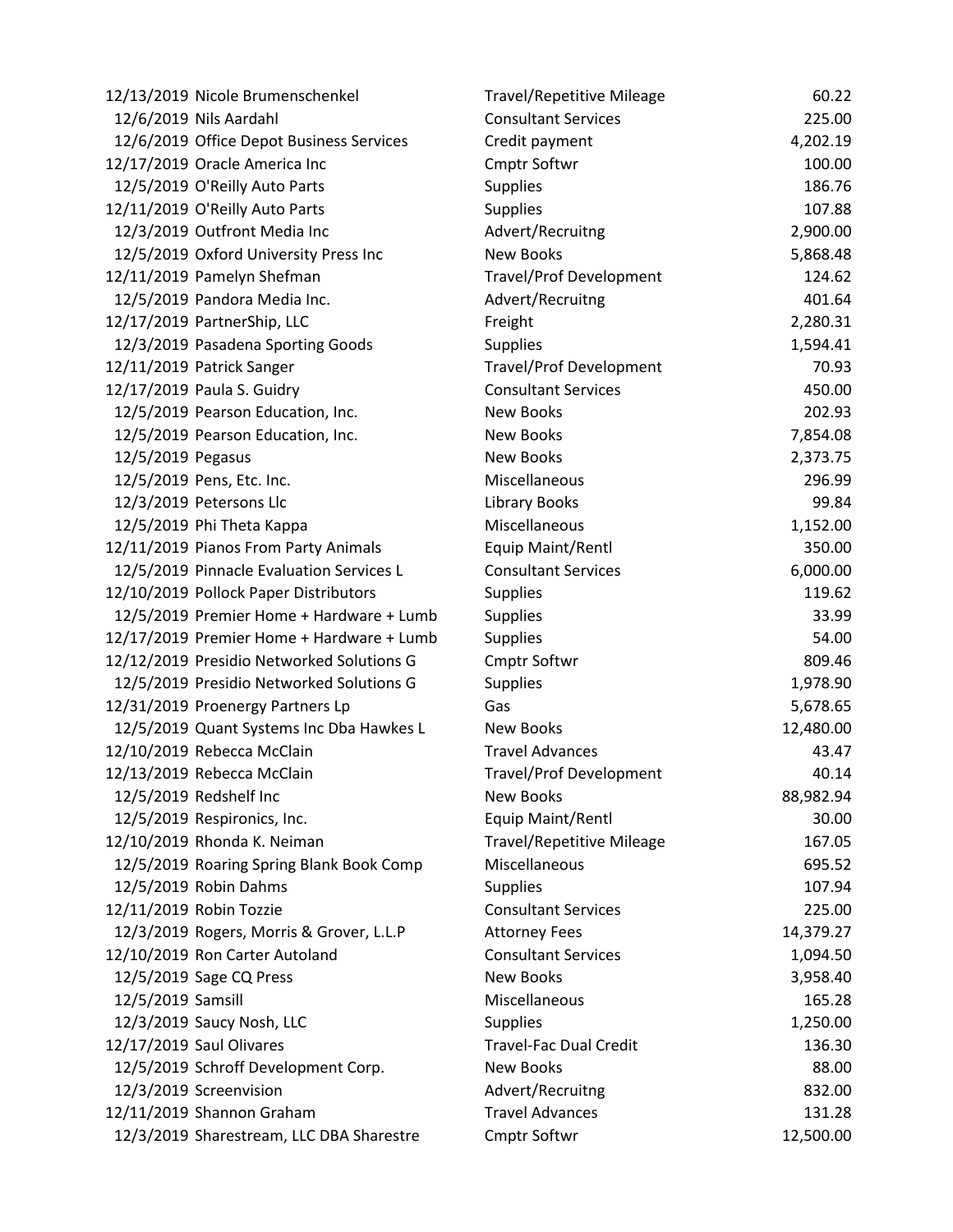|                   | 12/13/2019 Nicole Brumenschenkel          | <b>Travel/Repetitive Mileage</b> | 60.22     |
|-------------------|-------------------------------------------|----------------------------------|-----------|
|                   | 12/6/2019 Nils Aardahl                    | <b>Consultant Services</b>       | 225.00    |
|                   | 12/6/2019 Office Depot Business Services  | Credit payment                   | 4,202.19  |
|                   | 12/17/2019 Oracle America Inc             | Cmptr Softwr                     | 100.00    |
|                   | 12/5/2019 O'Reilly Auto Parts             | <b>Supplies</b>                  | 186.76    |
|                   | 12/11/2019 O'Reilly Auto Parts            | <b>Supplies</b>                  | 107.88    |
|                   | 12/3/2019 Outfront Media Inc              | Advert/Recruitng                 | 2,900.00  |
|                   | 12/5/2019 Oxford University Press Inc     | <b>New Books</b>                 | 5,868.48  |
|                   | 12/11/2019 Pamelyn Shefman                | <b>Travel/Prof Development</b>   | 124.62    |
|                   | 12/5/2019 Pandora Media Inc.              | Advert/Recruitng                 | 401.64    |
|                   | 12/17/2019 PartnerShip, LLC               | Freight                          | 2,280.31  |
|                   | 12/3/2019 Pasadena Sporting Goods         | <b>Supplies</b>                  | 1,594.41  |
|                   | 12/11/2019 Patrick Sanger                 | <b>Travel/Prof Development</b>   | 70.93     |
|                   | 12/17/2019 Paula S. Guidry                | <b>Consultant Services</b>       | 450.00    |
|                   | 12/5/2019 Pearson Education, Inc.         | <b>New Books</b>                 | 202.93    |
|                   | 12/5/2019 Pearson Education, Inc.         | <b>New Books</b>                 | 7,854.08  |
| 12/5/2019 Pegasus |                                           | <b>New Books</b>                 | 2,373.75  |
|                   | 12/5/2019 Pens, Etc. Inc.                 | Miscellaneous                    | 296.99    |
|                   | 12/3/2019 Petersons Llc                   | <b>Library Books</b>             | 99.84     |
|                   | 12/5/2019 Phi Theta Kappa                 | Miscellaneous                    | 1,152.00  |
|                   | 12/11/2019 Pianos From Party Animals      | Equip Maint/Rentl                | 350.00    |
|                   | 12/5/2019 Pinnacle Evaluation Services L  | <b>Consultant Services</b>       | 6,000.00  |
|                   | 12/10/2019 Pollock Paper Distributors     | <b>Supplies</b>                  | 119.62    |
|                   | 12/5/2019 Premier Home + Hardware + Lumb  | <b>Supplies</b>                  | 33.99     |
|                   | 12/17/2019 Premier Home + Hardware + Lumb | <b>Supplies</b>                  | 54.00     |
|                   | 12/12/2019 Presidio Networked Solutions G | <b>Cmptr Softwr</b>              | 809.46    |
|                   | 12/5/2019 Presidio Networked Solutions G  | <b>Supplies</b>                  | 1,978.90  |
|                   | 12/31/2019 Proenergy Partners Lp          | Gas                              | 5,678.65  |
|                   | 12/5/2019 Quant Systems Inc Dba Hawkes L  | <b>New Books</b>                 | 12,480.00 |
|                   | 12/10/2019 Rebecca McClain                | <b>Travel Advances</b>           | 43.47     |
|                   | 12/13/2019 Rebecca McClain                | <b>Travel/Prof Development</b>   | 40.14     |
|                   | 12/5/2019 Redshelf Inc                    | <b>New Books</b>                 | 88,982.94 |
|                   | 12/5/2019 Respironics, Inc.               | Equip Maint/Rentl                | 30.00     |
|                   | 12/10/2019 Rhonda K. Neiman               | <b>Travel/Repetitive Mileage</b> | 167.05    |
|                   | 12/5/2019 Roaring Spring Blank Book Comp  | Miscellaneous                    | 695.52    |
|                   | 12/5/2019 Robin Dahms                     | <b>Supplies</b>                  | 107.94    |
|                   | 12/11/2019 Robin Tozzie                   | <b>Consultant Services</b>       | 225.00    |
|                   | 12/3/2019 Rogers, Morris & Grover, L.L.P  | <b>Attorney Fees</b>             | 14,379.27 |
|                   | 12/10/2019 Ron Carter Autoland            | <b>Consultant Services</b>       | 1,094.50  |
|                   | 12/5/2019 Sage CQ Press                   | <b>New Books</b>                 | 3,958.40  |
| 12/5/2019 Samsill |                                           | Miscellaneous                    | 165.28    |
|                   | 12/3/2019 Saucy Nosh, LLC                 | <b>Supplies</b>                  | 1,250.00  |
|                   | 12/17/2019 Saul Olivares                  | <b>Travel-Fac Dual Credit</b>    | 136.30    |
|                   | 12/5/2019 Schroff Development Corp.       | <b>New Books</b>                 | 88.00     |
|                   | 12/3/2019 Screenvision                    | Advert/Recruitng                 | 832.00    |
|                   | 12/11/2019 Shannon Graham                 | <b>Travel Advances</b>           | 131.28    |
|                   | 12/3/2019 Sharestream, LLC DBA Sharestre  | Cmptr Softwr                     | 12,500.00 |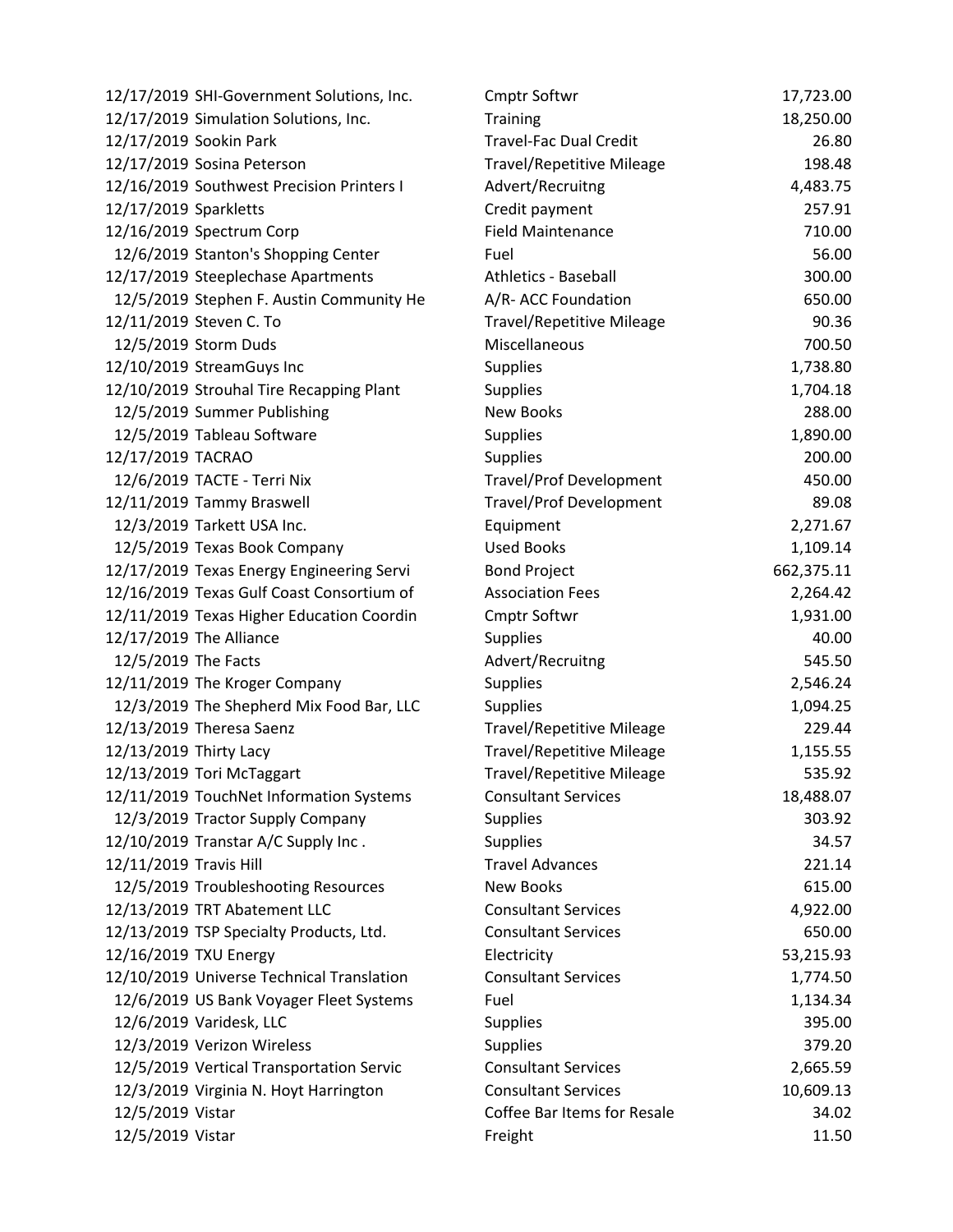|                        | 12/17/2019 SHI-Government Solutions, Inc. | <b>Cmptr Softwr</b>              | 17,723.00  |
|------------------------|-------------------------------------------|----------------------------------|------------|
|                        | 12/17/2019 Simulation Solutions, Inc.     | <b>Training</b>                  | 18,250.00  |
|                        | 12/17/2019 Sookin Park                    | <b>Travel-Fac Dual Credit</b>    | 26.80      |
|                        | 12/17/2019 Sosina Peterson                | <b>Travel/Repetitive Mileage</b> | 198.48     |
|                        | 12/16/2019 Southwest Precision Printers I | Advert/Recruitng                 | 4,483.75   |
| 12/17/2019 Sparkletts  |                                           | Credit payment                   | 257.91     |
|                        | 12/16/2019 Spectrum Corp                  | <b>Field Maintenance</b>         | 710.00     |
|                        | 12/6/2019 Stanton's Shopping Center       | Fuel                             | 56.00      |
|                        | 12/17/2019 Steeplechase Apartments        | <b>Athletics - Baseball</b>      | 300.00     |
|                        | 12/5/2019 Stephen F. Austin Community He  | A/R- ACC Foundation              | 650.00     |
|                        | 12/11/2019 Steven C. To                   | <b>Travel/Repetitive Mileage</b> | 90.36      |
|                        | 12/5/2019 Storm Duds                      | Miscellaneous                    | 700.50     |
|                        | 12/10/2019 StreamGuys Inc                 | <b>Supplies</b>                  | 1,738.80   |
|                        | 12/10/2019 Strouhal Tire Recapping Plant  | <b>Supplies</b>                  | 1,704.18   |
|                        | 12/5/2019 Summer Publishing               | <b>New Books</b>                 | 288.00     |
|                        | 12/5/2019 Tableau Software                | <b>Supplies</b>                  | 1,890.00   |
| 12/17/2019 TACRAO      |                                           | <b>Supplies</b>                  | 200.00     |
|                        | 12/6/2019 TACTE - Terri Nix               | <b>Travel/Prof Development</b>   | 450.00     |
|                        | 12/11/2019 Tammy Braswell                 | <b>Travel/Prof Development</b>   | 89.08      |
|                        | 12/3/2019 Tarkett USA Inc.                | Equipment                        | 2,271.67   |
|                        | 12/5/2019 Texas Book Company              | <b>Used Books</b>                | 1,109.14   |
|                        | 12/17/2019 Texas Energy Engineering Servi | <b>Bond Project</b>              | 662,375.11 |
|                        | 12/16/2019 Texas Gulf Coast Consortium of | <b>Association Fees</b>          | 2,264.42   |
|                        | 12/11/2019 Texas Higher Education Coordin | <b>Cmptr Softwr</b>              | 1,931.00   |
|                        | 12/17/2019 The Alliance                   | <b>Supplies</b>                  | 40.00      |
| 12/5/2019 The Facts    |                                           | Advert/Recruitng                 | 545.50     |
|                        | 12/11/2019 The Kroger Company             | <b>Supplies</b>                  | 2,546.24   |
|                        | 12/3/2019 The Shepherd Mix Food Bar, LLC  | <b>Supplies</b>                  | 1,094.25   |
|                        | 12/13/2019 Theresa Saenz                  | <b>Travel/Repetitive Mileage</b> | 229.44     |
| 12/13/2019 Thirty Lacy |                                           | <b>Travel/Repetitive Mileage</b> | 1,155.55   |
|                        | 12/13/2019 Tori McTaggart                 | <b>Travel/Repetitive Mileage</b> | 535.92     |
|                        | 12/11/2019 TouchNet Information Systems   | <b>Consultant Services</b>       | 18,488.07  |
|                        | 12/3/2019 Tractor Supply Company          | <b>Supplies</b>                  | 303.92     |
|                        | 12/10/2019 Transtar A/C Supply Inc.       | <b>Supplies</b>                  | 34.57      |
| 12/11/2019 Travis Hill |                                           | <b>Travel Advances</b>           | 221.14     |
|                        | 12/5/2019 Troubleshooting Resources       | <b>New Books</b>                 | 615.00     |
|                        | 12/13/2019 TRT Abatement LLC              | <b>Consultant Services</b>       | 4,922.00   |
|                        | 12/13/2019 TSP Specialty Products, Ltd.   | <b>Consultant Services</b>       | 650.00     |
| 12/16/2019 TXU Energy  |                                           | Electricity                      | 53,215.93  |
|                        | 12/10/2019 Universe Technical Translation | <b>Consultant Services</b>       | 1,774.50   |
|                        | 12/6/2019 US Bank Voyager Fleet Systems   | Fuel                             | 1,134.34   |
|                        | 12/6/2019 Varidesk, LLC                   | <b>Supplies</b>                  | 395.00     |
|                        | 12/3/2019 Verizon Wireless                | <b>Supplies</b>                  | 379.20     |
|                        | 12/5/2019 Vertical Transportation Servic  | <b>Consultant Services</b>       | 2,665.59   |
|                        | 12/3/2019 Virginia N. Hoyt Harrington     | <b>Consultant Services</b>       | 10,609.13  |
| 12/5/2019 Vistar       |                                           | Coffee Bar Items for Resale      | 34.02      |
| 12/5/2019 Vistar       |                                           | Freight                          | 11.50      |